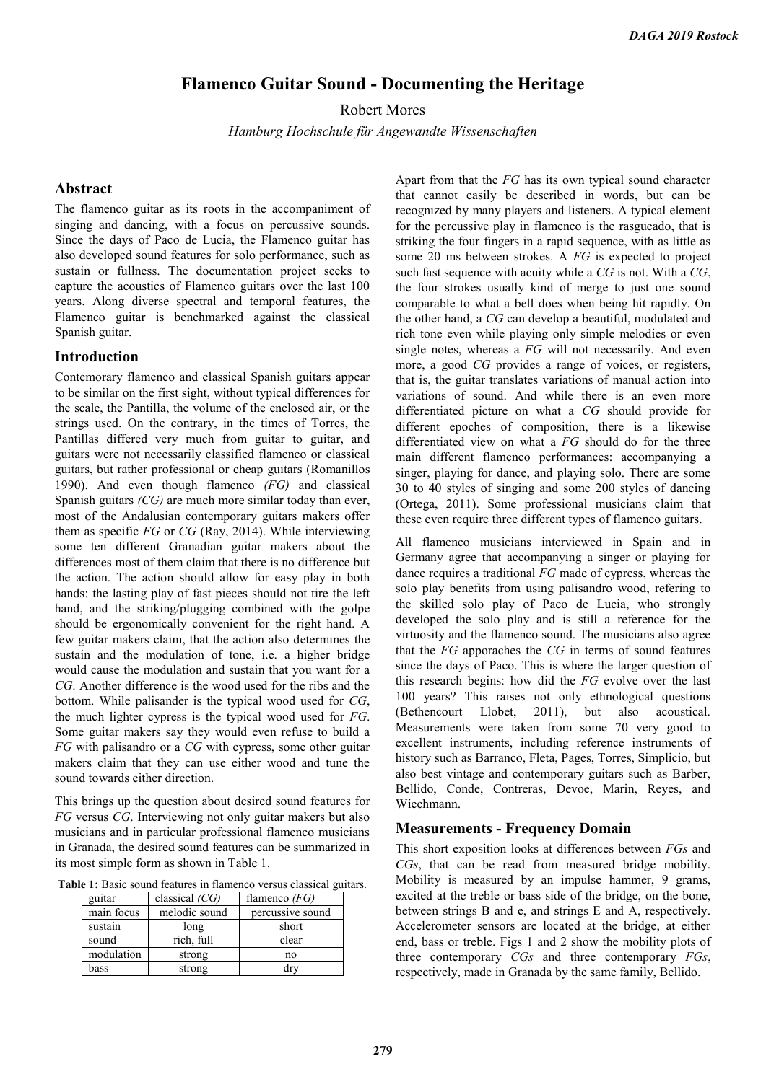# **Flamenco Guitar Sound - Documenting the Heritage**

Robert Mores

*Hamburg Hochschule für Angewandte Wissenschaften*

# **Abstract**

The flamenco guitar as its roots in the accompaniment of singing and dancing, with a focus on percussive sounds. Since the days of Paco de Lucia, the Flamenco guitar has also developed sound features for solo performance, such as sustain or fullness. The documentation project seeks to capture the acoustics of Flamenco guitars over the last 100 years. Along diverse spectral and temporal features, the Flamenco guitar is benchmarked against the classical Spanish guitar.

## **Introduction**

Contemorary flamenco and classical Spanish guitars appear to be similar on the first sight, without typical differences for the scale, the Pantilla, the volume of the enclosed air, or the strings used. On the contrary, in the times of Torres, the Pantillas differed very much from guitar to guitar, and guitars were not necessarily classified flamenco or classical guitars, but rather professional or cheap guitars (Romanillos 1990). And even though flamenco *(FG)* and classical Spanish guitars *(CG)* are much more similar today than ever, most of the Andalusian contemporary guitars makers offer them as specific *FG* or *CG* (Ray, 2014). While interviewing some ten different Granadian guitar makers about the differences most of them claim that there is no difference but the action. The action should allow for easy play in both hands: the lasting play of fast pieces should not tire the left hand, and the striking/plugging combined with the golpe should be ergonomically convenient for the right hand. A few guitar makers claim, that the action also determines the sustain and the modulation of tone, i.e. a higher bridge would cause the modulation and sustain that you want for a *CG*. Another difference is the wood used for the ribs and the bottom. While palisander is the typical wood used for *CG*, the much lighter cypress is the typical wood used for *FG*. Some guitar makers say they would even refuse to build a *FG* with palisandro or a *CG* with cypress, some other guitar makers claim that they can use either wood and tune the sound towards either direction.

This brings up the question about desired sound features for *FG* versus *CG*. Interviewing not only guitar makers but also musicians and in particular professional flamenco musicians in Granada, the desired sound features can be summarized in its most simple form as shown in Table 1.

**Table 1:** Basic sound features in flamenco versus classical guitars.

| guitar     | classical $(CG)$ | flamenco $(FG)$  |  |
|------------|------------------|------------------|--|
| main focus | melodic sound    | percussive sound |  |
| sustain    | long             | short            |  |
| sound      | rich, full       | clear            |  |
| modulation | strong           | no               |  |
| bass       | strong           | $\rm{d}r$        |  |

Apart from that the *FG* has its own typical sound character that cannot easily be described in words, but can be recognized by many players and listeners. A typical element for the percussive play in flamenco is the rasgueado, that is striking the four fingers in a rapid sequence, with as little as some 20 ms between strokes. A *FG* is expected to project such fast sequence with acuity while a *CG* is not. With a *CG*, the four strokes usually kind of merge to just one sound comparable to what a bell does when being hit rapidly. On the other hand, a *CG* can develop a beautiful, modulated and rich tone even while playing only simple melodies or even single notes, whereas a *FG* will not necessarily. And even more, a good *CG* provides a range of voices, or registers, that is, the guitar translates variations of manual action into variations of sound. And while there is an even more differentiated picture on what a *CG* should provide for different epoches of composition, there is a likewise differentiated view on what a *FG* should do for the three main different flamenco performances: accompanying a singer, playing for dance, and playing solo. There are some 30 to 40 styles of singing and some 200 styles of dancing (Ortega, 2011). Some professional musicians claim that these even require three different types of flamenco guitars.

All flamenco musicians interviewed in Spain and in Germany agree that accompanying a singer or playing for dance requires a traditional *FG* made of cypress, whereas the solo play benefits from using palisandro wood, refering to the skilled solo play of Paco de Lucia, who strongly developed the solo play and is still a reference for the virtuosity and the flamenco sound. The musicians also agree that the *FG* apporaches the *CG* in terms of sound features since the days of Paco. This is where the larger question of this research begins: how did the *FG* evolve over the last 100 years? This raises not only ethnological questions (Bethencourt Llobet, 2011), but also acoustical. Measurements were taken from some 70 very good to excellent instruments, including reference instruments of history such as Barranco, Fleta, Pages, Torres, Simplicio, but also best vintage and contemporary guitars such as Barber, Bellido, Conde, Contreras, Devoe, Marin, Reyes, and Wiechmann.

#### **Measurements - Frequency Domain**

This short exposition looks at differences between *FGs* and *CGs*, that can be read from measured bridge mobility. Mobility is measured by an impulse hammer, 9 grams, excited at the treble or bass side of the bridge, on the bone, between strings B and e, and strings E and A, respectively. Accelerometer sensors are located at the bridge, at either end, bass or treble. Figs 1 and 2 show the mobility plots of three contemporary *CGs* and three contemporary *FGs*, respectively, made in Granada by the same family, Bellido.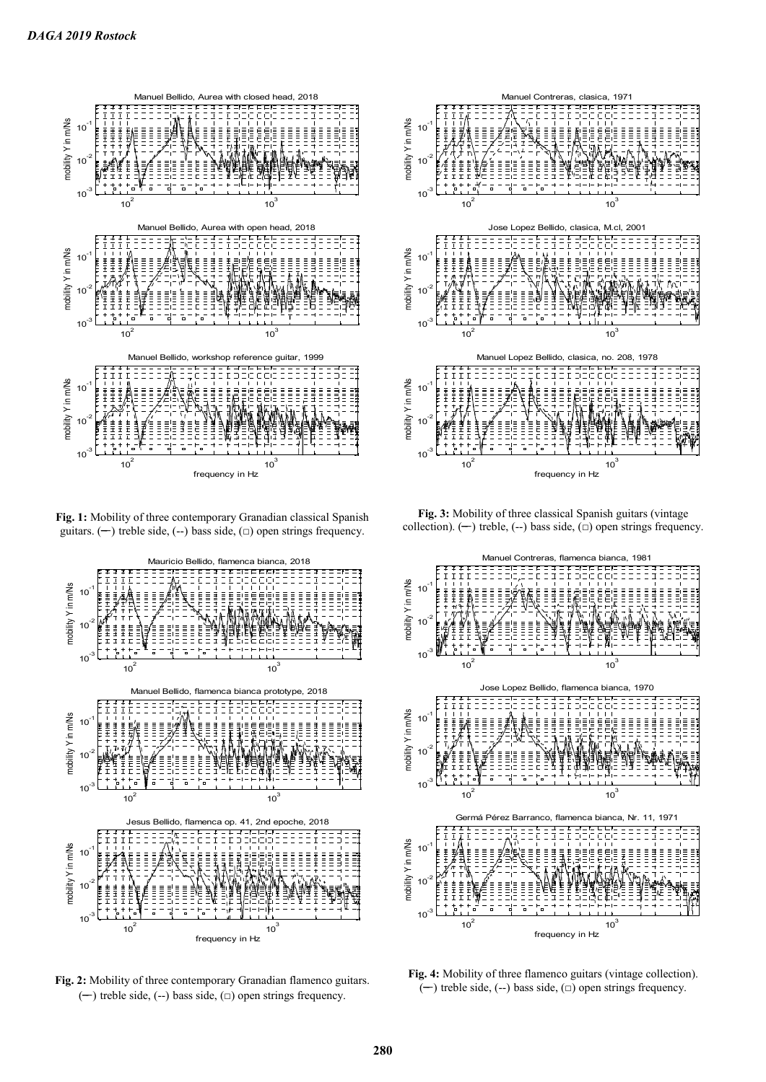

**Fig. 1:** Mobility of three contemporary Granadian classical Spanish guitars. ( $\rightarrow$ ) treble side, (--) bass side, ( $\Box$ ) open strings frequency.



**Fig. 2:** Mobility of three contemporary Granadian flamenco guitars. ( $\rightarrow$ ) treble side, (--) bass side, ( $\Box$ ) open strings frequency.



**Fig. 3:** Mobility of three classical Spanish guitars (vintage collection).  $(-)$  treble,  $(-)$  bass side,  $(\square)$  open strings frequency.



**Fig. 4:** Mobility of three flamenco guitars (vintage collection). ( $\rightarrow$ ) treble side, (--) bass side, ( $\Box$ ) open strings frequency.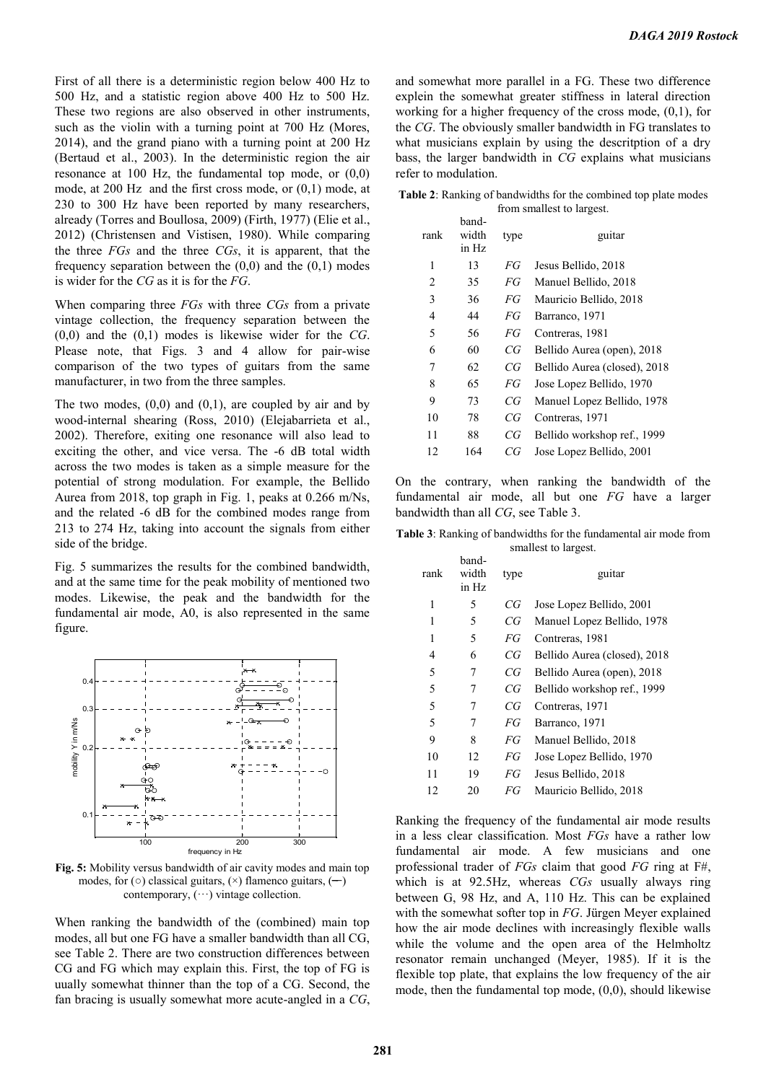First of all there is a deterministic region below 400 Hz to 500 Hz, and a statistic region above 400 Hz to 500 Hz. These two regions are also observed in other instruments, such as the violin with a turning point at 700 Hz (Mores, 2014), and the grand piano with a turning point at 200 Hz (Bertaud et al., 2003). In the deterministic region the air resonance at 100 Hz, the fundamental top mode, or  $(0,0)$ mode, at 200 Hz and the first cross mode, or (0,1) mode, at 230 to 300 Hz have been reported by many researchers, already (Torres and Boullosa, 2009) (Firth, 1977) (Elie et al., 2012) (Christensen and Vistisen, 1980). While comparing the three *FGs* and the three *CGs*, it is apparent, that the frequency separation between the  $(0,0)$  and the  $(0,1)$  modes is wider for the *CG* as it is for the *FG*.

When comparing three *FGs* with three *CGs* from a private vintage collection, the frequency separation between the (0,0) and the (0,1) modes is likewise wider for the *CG*. Please note, that Figs. 3 and 4 allow for pair-wise comparison of the two types of guitars from the same manufacturer, in two from the three samples.

The two modes,  $(0,0)$  and  $(0,1)$ , are coupled by air and by wood-internal shearing (Ross, 2010) (Elejabarrieta et al., 2002). Therefore, exiting one resonance will also lead to exciting the other, and vice versa. The -6 dB total width across the two modes is taken as a simple measure for the potential of strong modulation. For example, the Bellido Aurea from 2018, top graph in Fig. 1, peaks at 0.266 m/Ns, and the related -6 dB for the combined modes range from 213 to 274 Hz, taking into account the signals from either side of the bridge.

Fig. 5 summarizes the results for the combined bandwidth, and at the same time for the peak mobility of mentioned two modes. Likewise, the peak and the bandwidth for the fundamental air mode, A0, is also represented in the same figure.

![](_page_2_Figure_4.jpeg)

**Fig. 5:** Mobility versus bandwidth of air cavity modes and main top modes, for ( $\circ$ ) classical guitars, ( $\times$ ) flamenco guitars, ( $\leftarrow$ ) contemporary,  $(\cdots)$  vintage collection.

When ranking the bandwidth of the (combined) main top modes, all but one FG have a smaller bandwidth than all CG, see Table 2. There are two construction differences between CG and FG which may explain this. First, the top of FG is uually somewhat thinner than the top of a CG. Second, the fan bracing is usually somewhat more acute-angled in a *CG*, and somewhat more parallel in a FG. These two difference explein the somewhat greater stiffness in lateral direction working for a higher frequency of the cross mode, (0,1), for the *CG*. The obviously smaller bandwidth in FG translates to what musicians explain by using the descritption of a dry bass, the larger bandwidth in *CG* explains what musicians refer to modulation.

**Table 2**: Ranking of bandwidths for the combined top plate modes from smallest to largest.

| rank | band-<br>width<br>in Hz | type | guitar                       |
|------|-------------------------|------|------------------------------|
| 1    | 13                      | FG   | Jesus Bellido, 2018          |
| 2    | 35                      | FG   | Manuel Bellido, 2018         |
| 3    | 36                      | FG   | Mauricio Bellido, 2018       |
| 4    | 44                      | FG   | Barranco, 1971               |
| 5    | 56                      | FG   | Contreras, 1981              |
| 6    | 60                      | CG   | Bellido Aurea (open), 2018   |
| 7    | 62                      | СG   | Bellido Aurea (closed), 2018 |
| 8    | 65                      | FG   | Jose Lopez Bellido, 1970     |
| 9    | 73                      | CG   | Manuel Lopez Bellido, 1978   |
| 10   | 78                      | CG   | Contreras, 1971              |
| 11   | 88                      | CG   | Bellido workshop ref., 1999  |
| 12   | 164                     | СG   | Jose Lopez Bellido, 2001     |

On the contrary, when ranking the bandwidth of the fundamental air mode, all but one *FG* have a larger bandwidth than all *CG*, see Table 3.

**Table 3**: Ranking of bandwidths for the fundamental air mode from smallest to largest.

| rank | band-<br>width<br>in Hz | type | guitar                       |
|------|-------------------------|------|------------------------------|
| 1    | 5                       | СG   | Jose Lopez Bellido, 2001     |
| 1    | 5                       | СG   | Manuel Lopez Bellido, 1978   |
| 1    | 5                       | FG   | Contreras, 1981              |
| 4    | 6                       | СG   | Bellido Aurea (closed), 2018 |
| 5    | 7                       | СG   | Bellido Aurea (open), 2018   |
| 5    | 7                       | СG   | Bellido workshop ref., 1999  |
| 5    | 7                       | СG   | Contreras, 1971              |
| 5    | 7                       | FG   | Barranco, 1971               |
| 9    | 8                       | FG   | Manuel Bellido, 2018         |
| 10   | 12                      | FG   | Jose Lopez Bellido, 1970     |
| 11   | 19                      | FG   | Jesus Bellido, 2018          |
| 12   | 20                      | FG   | Mauricio Bellido, 2018       |
|      |                         |      |                              |

Ranking the frequency of the fundamental air mode results in a less clear classification. Most *FGs* have a rather low fundamental air mode. A few musicians and one professional trader of *FGs* claim that good *FG* ring at F#, which is at 92.5Hz, whereas *CGs* usually always ring between G, 98 Hz, and A, 110 Hz. This can be explained with the somewhat softer top in *FG*. Jürgen Meyer explained how the air mode declines with increasingly flexible walls while the volume and the open area of the Helmholtz resonator remain unchanged (Meyer, 1985). If it is the flexible top plate, that explains the low frequency of the air mode, then the fundamental top mode, (0,0), should likewise